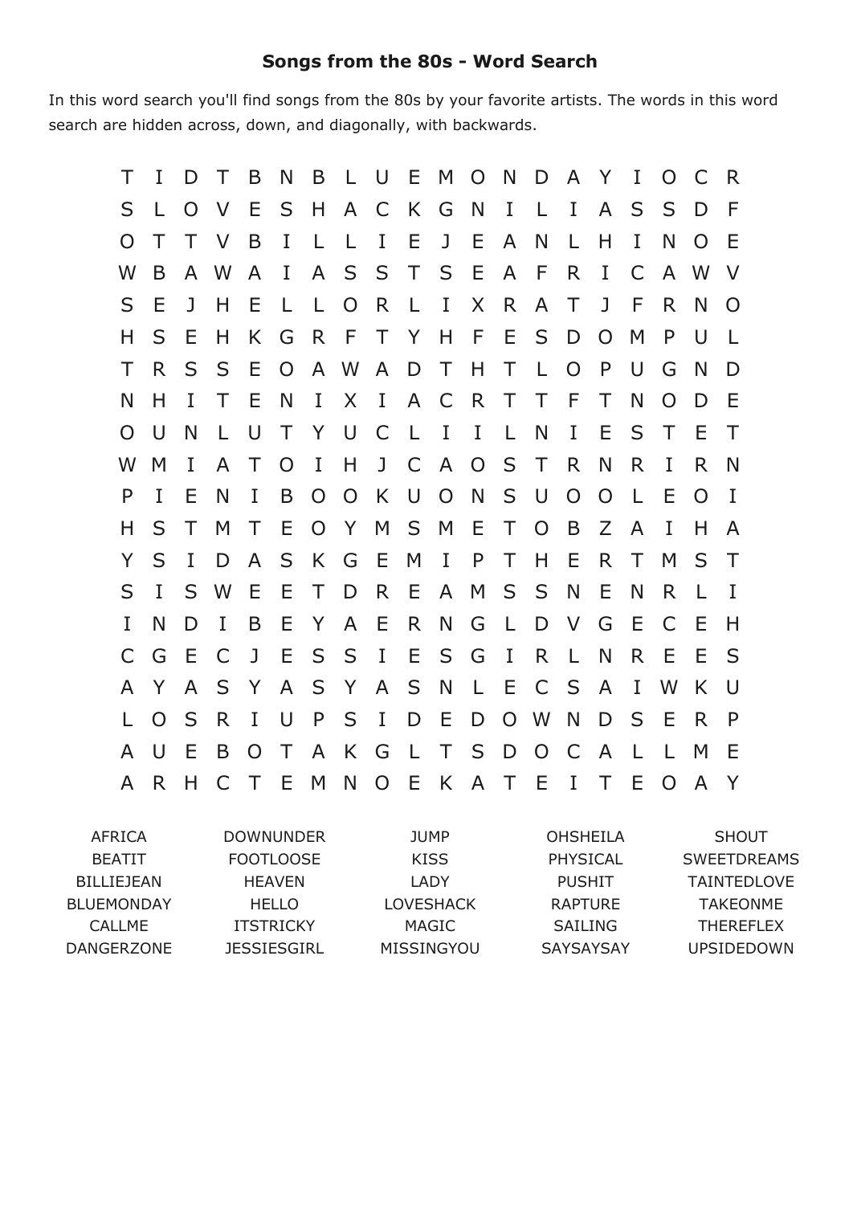## **Songs from the 80s Word Search**

In this word search you'll find songs from the 80s by your favorite artists. The words in this word search are hidden across, down, and diagonally, with backwards.

| Τ        | I            | D            | Τ            | B              | N              | B              | LUEM           |                |              |                | $\overline{O}$ | N            | D              | $\mathsf{A}$   | YI             |              | O              | C            | R.          |
|----------|--------------|--------------|--------------|----------------|----------------|----------------|----------------|----------------|--------------|----------------|----------------|--------------|----------------|----------------|----------------|--------------|----------------|--------------|-------------|
| S        | $\mathbf{L}$ | O            | $\vee$       | E              | S              | H.             | A C            |                | K G          |                | <sup>N</sup>   | I L          |                | $\bf{I}$       | $\mathsf{A}$   | S            | S              | D            | F           |
| O        | Τ            | T.           | $\vee$       | $\overline{B}$ | L              | - L            | $\perp$        | I E            |              | J E            |                | $\mathsf{A}$ | N              | $\mathsf{L}$   | Н              | I            | N              | O            | -E          |
| W        | <sub>B</sub> |              | A W          | $\mathsf{A}$   | $\mathbf{I}$   |                | A S S T S E    |                |              |                |                | A F          |                | R              | T.             | $\mathsf{C}$ |                | A W          | $\vee$      |
| S        | Е            | $\mathbf{J}$ | H            | Е              | L              | - L            | $\overline{O}$ | R.             | $\mathsf{L}$ | $\mathbf{I}$   | X              | $\mathsf{R}$ | $\mathsf{A}$   | $\top$         | $\mathbf{J}$   | F            | R.             | N            | $\Omega$    |
| H        | S            | E            | H            | K.             | G              |                | R F T Y H F E  |                |              |                |                |              | S              | D              | $\overline{O}$ | M            | P              | U            | -L          |
| Τ        | R.           | S            | S            | E              | $\overline{O}$ |                | A W            |                | A D T        |                | H T            |              | $\mathsf{L}$   | $\overline{O}$ | P              | U            | G              | N            | D           |
| N        | H            | L            | T.           | E              | N              | $\bf{I}$       | $\sf X$        | $\bf{I}$       | A C          |                | R              | $\top$       | $\top$         | F              | T              | N            | $\overline{O}$ | D            | Е           |
| $\Omega$ | $\cup$       | N            | $\mathsf{L}$ | - U            | $\top$         | Y              | U C            |                |              | L I I          |                | $\mathbf{L}$ | N              | $\bf{I}$       | Ε              | S            | $\top$         | Ε            | $\top$      |
| W        | M            | I            | A            | T              | $\overline{O}$ | $\mathbf{I}$   | H              |                |              | J C A          | $\overline{O}$ | S            | T              | R              | N              | R.           | I              | R            | N           |
| P        | I            | Е            | N            | I              | B              | O              | $\overline{O}$ | K              | U            | $\overline{O}$ | N              | S            | $\cup$         | $\overline{O}$ | $\Omega$       | $\perp$      | Е              | O            | $\mathbf I$ |
| H        | S            | T.           | M            | $\top$         | E.             | $\overline{O}$ | Y              |                |              | M S M E        |                | $\top$       | $\Omega$       | B              | Z              | A            | $\bf{I}$       | Н            | A           |
| Y        | S            | $\bf{I}$     | D            | $\mathsf{A}$   | S              | $\mathsf{K}$   | G              | E              | M            | $\mathbf{I}$   | $\mathsf{P}$   | $\top$       | H              | E              | R.             | T.           | M              | S            | $\top$      |
| S        | I            |              | S W          | Ε              | Е              | T.             | D              | R.             | E.           | $\mathsf{A}$   | M              | S            | S              | N              | Е              | N            | R.             | $\mathsf{L}$ | Ι.          |
| I        | N            | D            | $\mathbf{I}$ | B              | E              | Y              | $\mathsf{A}$   | E              | R.           | N              | G              | $\Box$       | D              | $\vee$         | G              | E            | C              | Ε            | H           |
| C        | G            | Ε            | C            | J              | E              | S -            | S I            |                | E.           | S <sub>S</sub> | G              | $\mathbf{I}$ | R              | $\mathsf{L}$   | N              | R.           | E              | Ε            | S           |
| A        | Y            | $\mathsf{A}$ | S            | Y              | $\mathsf{A}$   | S              | Y              | $\mathsf{A}$   | S            | <sup>N</sup>   |                | L E          | $\mathsf{C}$   | S              | $\mathsf{A}$   | L            | W              | K            | $\cup$      |
| L        | $\Omega$     | S            | R            | $\bf{I}$       | -U             | $\mathsf{P}$   |                | S I            | D E          |                | D              |              | $O$ W          | N <sub>1</sub> | D              | S            | E              | R.           | P           |
| A        | U            | E            | B            | $\overline{O}$ | $\top$         |                | A K            | G              |              |                | LTSD           |              | $\overline{O}$ | $\mathsf{C}$   | $\mathsf{A}$   | $\mathsf{L}$ | $\mathsf{L}$   | M            | -E          |
| A        | R.           | H.           | $\mathsf{C}$ | $\top$         | E              | M              | N              | $\overline{O}$ | E.           |                | K A T          |              | - E            | $\bf{I}$       | T              | Е            | $\Omega$       | A            | Y           |
|          |              |              |              |                |                |                |                |                |              |                |                |              |                |                |                |              |                |              |             |

AFRICA BEATIT BILLIEJEAN BLUEMONDAY CALLME DANGERZONE DOWNUNDER FOOTLOOSE HEAVEN HELLO ITSTRICKY JESSIESGIRL JUMP KISS LADY LOVESHACK MAGIC MISSINGYOU OHSHEILA PHYSICAL PUSHIT RAPTURE SAILING SAYSAYSAY SHOUT SWEETDREAMS TAINTEDLOVE TAKEONME THEREFLEX UPSIDEDOWN